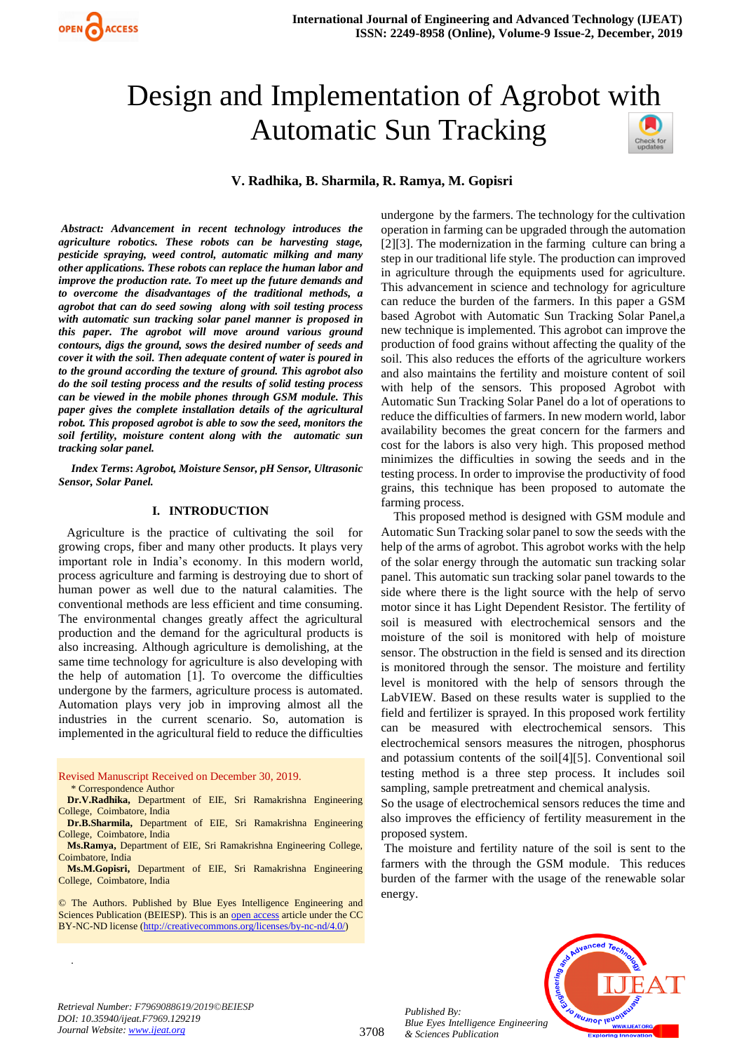

# Design and Implementation of Agrobot with Automatic Sun Tracking



**V. Radhika, B. Sharmila, R. Ramya, M. Gopisri**

*Abstract: Advancement in recent technology introduces the agriculture robotics. These robots can be harvesting stage, pesticide spraying, weed control, automatic milking and many other applications. These robots can replace the human labor and improve the production rate. To meet up the future demands and to overcome the disadvantages of the traditional methods, a agrobot that can do seed sowing along with soil testing process with automatic sun tracking solar panel manner is proposed in this paper. The agrobot will move around various ground contours, digs the ground, sows the desired number of seeds and cover it with the soil. Then adequate content of water is poured in to the ground according the texture of ground. This agrobot also do the soil testing process and the results of solid testing process can be viewed in the mobile phones through GSM module. This paper gives the complete installation details of the agricultural robot. This proposed agrobot is able to sow the seed, monitors the soil fertility, moisture content along with the automatic sun tracking solar panel.*

*Index Terms***:** *Agrobot, Moisture Sensor, pH Sensor, Ultrasonic Sensor, Solar Panel.*

#### **I. INTRODUCTION**

 Agriculture is the practice of cultivating the soil for growing crops, fiber and many other products. It plays very important role in India's economy. In this modern world, process agriculture and farming is destroying due to short of human power as well due to the natural calamities. The conventional methods are less efficient and time consuming. The environmental changes greatly affect the agricultural production and the demand for the agricultural products is also increasing. Although agriculture is demolishing, at the same time technology for agriculture is also developing with the help of automation [1]. To overcome the difficulties undergone by the farmers, agriculture process is automated. Automation plays very job in improving almost all the industries in the current scenario. So, automation is implemented in the agricultural field to reduce the difficulties

Revised Manuscript Received on December 30, 2019. \* Correspondence Author

.

**Dr.V.Radhika,** Department of EIE, Sri Ramakrishna Engineering College, Coimbatore, India

**Dr.B.Sharmila,** Department of EIE, Sri Ramakrishna Engineering College, Coimbatore, India

**Ms.Ramya,** Department of EIE, Sri Ramakrishna Engineering College, Coimbatore, India

**Ms.M.Gopisri,** Department of EIE, Sri Ramakrishna Engineering College, Coimbatore, India

© The Authors. Published by Blue Eyes Intelligence Engineering and Sciences Publication (BEIESP). This is a[n open access](https://www.openaccess.nl/en/open-publications) article under the CC BY-NC-ND license [\(http://creativecommons.org/licenses/by-nc-nd/4.0/\)](http://creativecommons.org/licenses/by-nc-nd/4.0/)

undergone by the farmers. The technology for the cultivation operation in farming can be upgraded through the automation [2][3]. The modernization in the farming culture can bring a step in our traditional life style. The production can improved in agriculture through the equipments used for agriculture. This advancement in science and technology for agriculture can reduce the burden of the farmers. In this paper a GSM based Agrobot with Automatic Sun Tracking Solar Panel,a new technique is implemented. This agrobot can improve the production of food grains without affecting the quality of the soil. This also reduces the efforts of the agriculture workers and also maintains the fertility and moisture content of soil with help of the sensors. This proposed Agrobot with Automatic Sun Tracking Solar Panel do a lot of operations to reduce the difficulties of farmers. In new modern world, labor availability becomes the great concern for the farmers and cost for the labors is also very high. This proposed method minimizes the difficulties in sowing the seeds and in the testing process. In order to improvise the productivity of food grains, this technique has been proposed to automate the farming process.

This proposed method is designed with GSM module and Automatic Sun Tracking solar panel to sow the seeds with the help of the arms of agrobot. This agrobot works with the help of the solar energy through the automatic sun tracking solar panel. This automatic sun tracking solar panel towards to the side where there is the light source with the help of servo motor since it has Light Dependent Resistor. The fertility of soil is measured with electrochemical sensors and the moisture of the soil is monitored with help of moisture sensor. The obstruction in the field is sensed and its direction is monitored through the sensor. The moisture and fertility level is monitored with the help of sensors through the LabVIEW. Based on these results water is supplied to the field and fertilizer is sprayed. In this proposed work fertility can be measured with electrochemical sensors. This electrochemical sensors measures the nitrogen, phosphorus and potassium contents of the soil[4][5]. Conventional soil testing method is a three step process. It includes soil sampling, sample pretreatment and chemical analysis.

So the usage of electrochemical sensors reduces the time and also improves the efficiency of fertility measurement in the proposed system.

The moisture and fertility nature of the soil is sent to the farmers with the through the GSM module. This reduces burden of the farmer with the usage of the renewable solar energy.



*Retrieval Number: F7969088619/2019©BEIESP DOI: 10.35940/ijeat.F7969.129219 Journal Website[: www.ijeat.org](http://www.ijeat.org/)*

*Published By:*

*& Sciences Publication*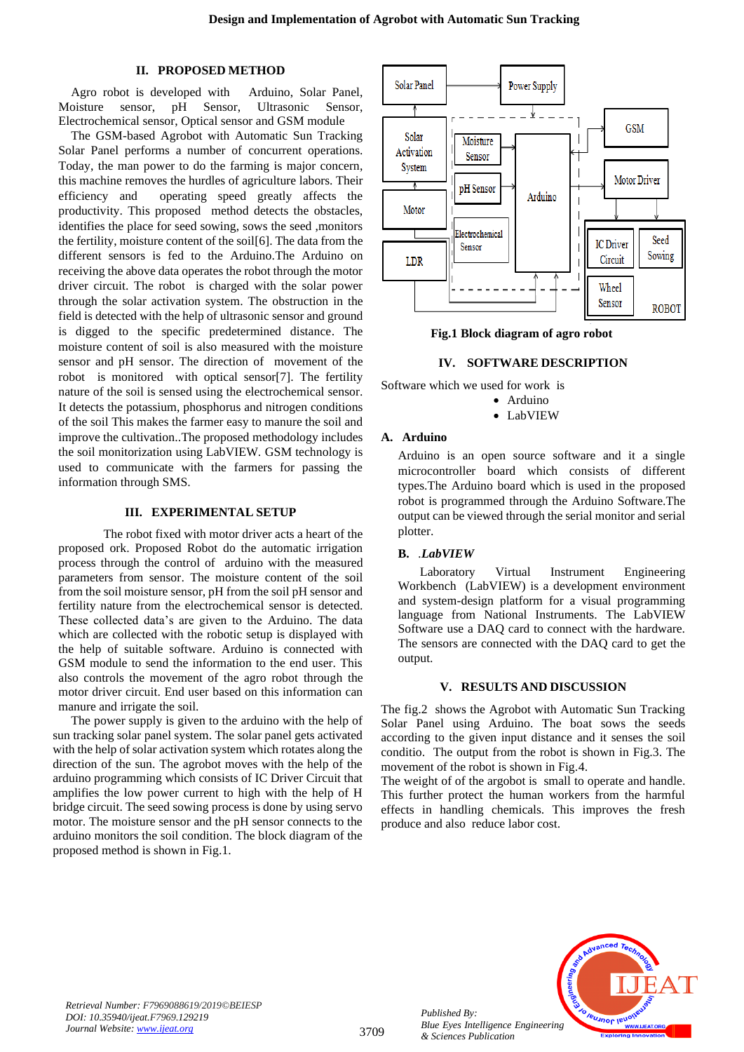## **II. PROPOSED METHOD**

Agro robot is developed with Arduino, Solar Panel, Moisture sensor, pH Sensor, Ultrasonic Sensor, Electrochemical sensor, Optical sensor and GSM module

The GSM-based Agrobot with Automatic Sun Tracking Solar Panel performs a number of concurrent operations. Today, the man power to do the farming is major concern, this machine removes the hurdles of agriculture labors. Their efficiency and operating speed greatly affects the productivity. This proposed method detects the obstacles, identifies the place for seed sowing, sows the seed ,monitors the fertility, moisture content of the soil[6]. The data from the different sensors is fed to the Arduino.The Arduino on receiving the above data operates the robot through the motor driver circuit. The robot is charged with the solar power through the solar activation system. The obstruction in the field is detected with the help of ultrasonic sensor and ground is digged to the specific predetermined distance. The moisture content of soil is also measured with the moisture sensor and pH sensor. The direction of movement of the robot is monitored with optical sensor[7]. The fertility nature of the soil is sensed using the electrochemical sensor. It detects the potassium, phosphorus and nitrogen conditions of the soil This makes the farmer easy to manure the soil and improve the cultivation..The proposed methodology includes the soil monitorization using LabVIEW. GSM technology is used to communicate with the farmers for passing the information through SMS.

## **III. EXPERIMENTAL SETUP**

The robot fixed with motor driver acts a heart of the proposed ork. Proposed Robot do the automatic irrigation process through the control of arduino with the measured parameters from sensor. The moisture content of the soil from the soil moisture sensor, pH from the soil pH sensor and fertility nature from the electrochemical sensor is detected. These collected data's are given to the Arduino. The data which are collected with the robotic setup is displayed with the help of suitable software. Arduino is connected with GSM module to send the information to the end user. This also controls the movement of the agro robot through the motor driver circuit. End user based on this information can manure and irrigate the soil.

The power supply is given to the arduino with the help of sun tracking solar panel system. The solar panel gets activated with the help of solar activation system which rotates along the direction of the sun. The agrobot moves with the help of the arduino programming which consists of IC Driver Circuit that amplifies the low power current to high with the help of H bridge circuit. The seed sowing process is done by using servo motor. The moisture sensor and the pH sensor connects to the arduino monitors the soil condition. The block diagram of the proposed method is shown in Fig.1.



**Fig.1 Block diagram of agro robot**

## **IV. SOFTWARE DESCRIPTION**

Software which we used for work is

- Arduino
- LabVIEW

# **A. Arduino**

Arduino is an open source software and it a single microcontroller board which consists of different types.The Arduino board which is used in the proposed robot is programmed through the Arduino Software.The output can be viewed through the serial monitor and serial plotter.

## **B.** *.LabVIEW*

 Laboratory Virtual Instrument Engineering Workbench (LabVIEW) is a development environment and system-design platform for a visual programming language from National Instruments. The LabVIEW Software use a DAQ card to connect with the hardware. The sensors are connected with the DAQ card to get the output.

#### **V. RESULTS AND DISCUSSION**

The fig.2 shows the Agrobot with Automatic Sun Tracking Solar Panel using Arduino. The boat sows the seeds according to the given input distance and it senses the soil conditio. The output from the robot is shown in Fig.3. The movement of the robot is shown in Fig.4.

The weight of of the argobot is small to operate and handle. This further protect the human workers from the harmful effects in handling chemicals. This improves the fresh produce and also reduce labor cost.



*Retrieval Number: F7969088619/2019©BEIESP DOI: 10.35940/ijeat.F7969.129219 Journal Website[: www.ijeat.org](http://www.ijeat.org/)*

*Published By: Blue Eyes Intelligence Engineering & Sciences Publication*